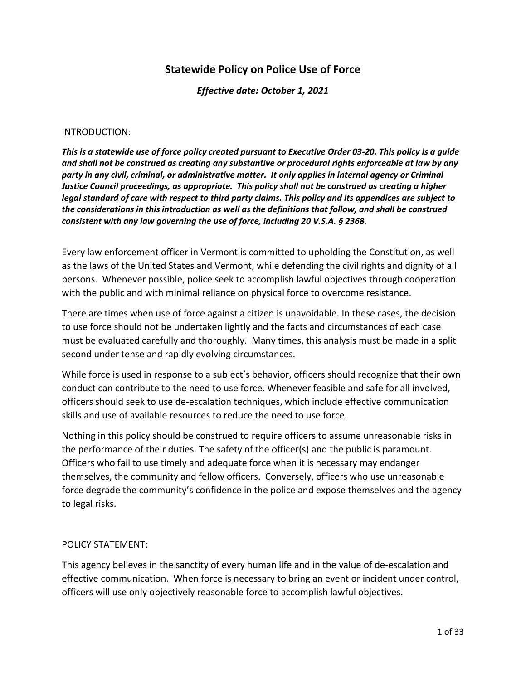# **Statewide Policy on Police Use of Force**

*Effective date: October 1, 2021*

#### INTRODUCTION:

*This is a statewide use of force policy created pursuant to Executive Order 03-20. This policy is a guide and shall not be construed as creating any substantive or procedural rights enforceable at law by any party in any civil, criminal, or administrative matter. It only applies in internal agency or Criminal Justice Council proceedings, as appropriate. This policy shall not be construed as creating a higher legal standard of care with respect to third party claims. This policy and its appendices are subject to the considerations in this introduction as well as the definitions that follow, and shall be construed consistent with any law governing the use of force, including 20 V.S.A. § 2368.*

Every law enforcement officer in Vermont is committed to upholding the Constitution, as well as the laws of the United States and Vermont, while defending the civil rights and dignity of all persons. Whenever possible, police seek to accomplish lawful objectives through cooperation with the public and with minimal reliance on physical force to overcome resistance.

There are times when use of force against a citizen is unavoidable. In these cases, the decision to use force should not be undertaken lightly and the facts and circumstances of each case must be evaluated carefully and thoroughly. Many times, this analysis must be made in a split second under tense and rapidly evolving circumstances.

While force is used in response to a subject's behavior, officers should recognize that their own conduct can contribute to the need to use force. Whenever feasible and safe for all involved, officers should seek to use de-escalation techniques, which include effective communication skills and use of available resources to reduce the need to use force.

Nothing in this policy should be construed to require officers to assume unreasonable risks in the performance of their duties. The safety of the officer(s) and the public is paramount. Officers who fail to use timely and adequate force when it is necessary may endanger themselves, the community and fellow officers. Conversely, officers who use unreasonable force degrade the community's confidence in the police and expose themselves and the agency to legal risks.

#### POLICY STATEMENT:

This agency believes in the sanctity of every human life and in the value of de-escalation and effective communication. When force is necessary to bring an event or incident under control, officers will use only objectively reasonable force to accomplish lawful objectives.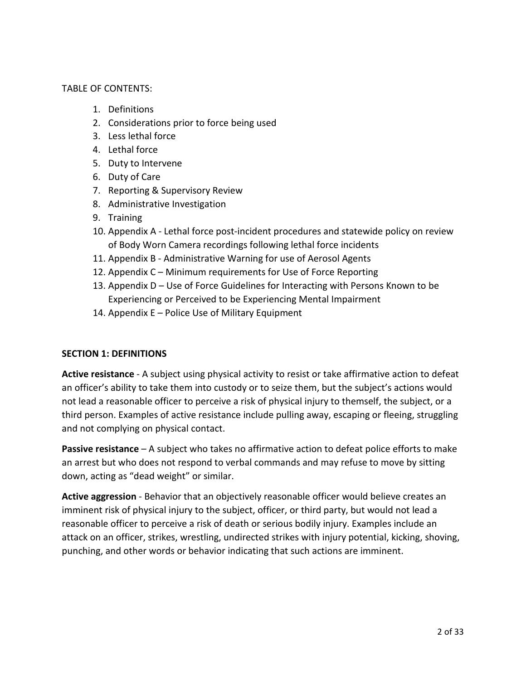#### TABLE OF CONTENTS:

- 1. Definitions
- 2. Considerations prior to force being used
- 3. Less lethal force
- 4. Lethal force
- 5. Duty to Intervene
- 6. Duty of Care
- 7. Reporting & Supervisory Review
- 8. Administrative Investigation
- 9. Training
- 10. Appendix A Lethal force post-incident procedures and statewide policy on review of Body Worn Camera recordings following lethal force incidents
- 11. Appendix B Administrative Warning for use of Aerosol Agents
- 12. Appendix C Minimum requirements for Use of Force Reporting
- 13. Appendix D Use of Force Guidelines for Interacting with Persons Known to be Experiencing or Perceived to be Experiencing Mental Impairment
- 14. Appendix E Police Use of Military Equipment

#### **SECTION 1: DEFINITIONS**

**Active resistance** - A subject using physical activity to resist or take affirmative action to defeat an officer's ability to take them into custody or to seize them, but the subject's actions would not lead a reasonable officer to perceive a risk of physical injury to themself, the subject, or a third person. Examples of active resistance include pulling away, escaping or fleeing, struggling and not complying on physical contact.

**Passive resistance** – A subject who takes no affirmative action to defeat police efforts to make an arrest but who does not respond to verbal commands and may refuse to move by sitting down, acting as "dead weight" or similar.

**Active aggression** - Behavior that an objectively reasonable officer would believe creates an imminent risk of physical injury to the subject, officer, or third party, but would not lead a reasonable officer to perceive a risk of death or serious bodily injury. Examples include an attack on an officer, strikes, wrestling, undirected strikes with injury potential, kicking, shoving, punching, and other words or behavior indicating that such actions are imminent.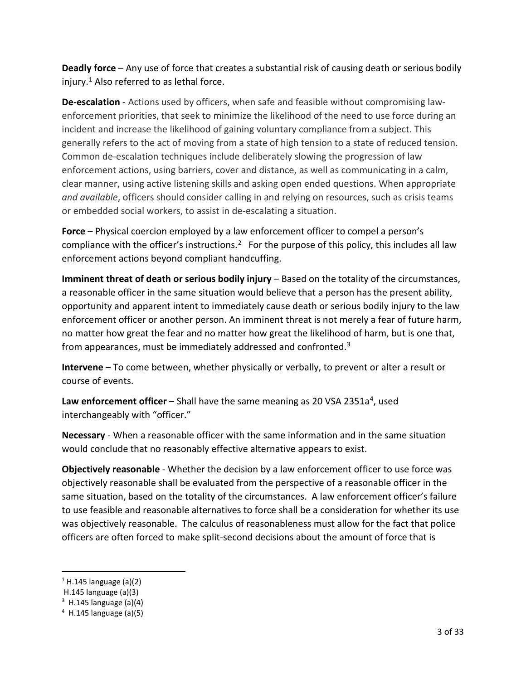**Deadly force** – Any use of force that creates a substantial risk of causing death or serious bodily injury.<sup>[1](#page-2-0)</sup> Also referred to as lethal force.

**De-escalation** - Actions used by officers, when safe and feasible without compromising lawenforcement priorities, that seek to minimize the likelihood of the need to use force during an incident and increase the likelihood of gaining voluntary compliance from a subject. This generally refers to the act of moving from a state of high tension to a state of reduced tension. Common de-escalation techniques include deliberately slowing the progression of law enforcement actions, using barriers, cover and distance, as well as communicating in a calm, clear manner, using active listening skills and asking open ended questions. When appropriate *and available*, officers should consider calling in and relying on resources, such as crisis teams or embedded social workers, to assist in de-escalating a situation.

**Force** – Physical coercion employed by a law enforcement officer to compel a person's compliance with the officer's instructions.<sup>[2](#page-2-1)</sup> For the purpose of this policy, this includes all law enforcement actions beyond compliant handcuffing.

**Imminent threat of death or serious bodily injury** – Based on the totality of the circumstances, a reasonable officer in the same situation would believe that a person has the present ability, opportunity and apparent intent to immediately cause death or serious bodily injury to the law enforcement officer or another person. An imminent threat is not merely a fear of future harm, no matter how great the fear and no matter how great the likelihood of harm, but is one that, from appearances, must be immediately addressed and confronted.[3](#page-2-2)

**Intervene** – To come between, whether physically or verbally, to prevent or alter a result or course of events.

**Law enforcement officer** – Shall have the same meaning as 20 VSA 2351a<sup>4</sup>, used interchangeably with "officer."

**Necessary** - When a reasonable officer with the same information and in the same situation would conclude that no reasonably effective alternative appears to exist.

**Objectively reasonable** - Whether the decision by a law enforcement officer to use force was objectively reasonable shall be evaluated from the perspective of a reasonable officer in the same situation, based on the totality of the circumstances. A law enforcement officer's failure to use feasible and reasonable alternatives to force shall be a consideration for whether its use was objectively reasonable. The calculus of reasonableness must allow for the fact that police officers are often forced to make split-second decisions about the amount of force that is

<span id="page-2-0"></span> $1$  H.145 language (a)(2)

<span id="page-2-1"></span> $H.145$  language (a)(3)

<span id="page-2-2"></span> $3$  H.145 language (a)(4)

<span id="page-2-3"></span> $4$  H.145 language (a)(5)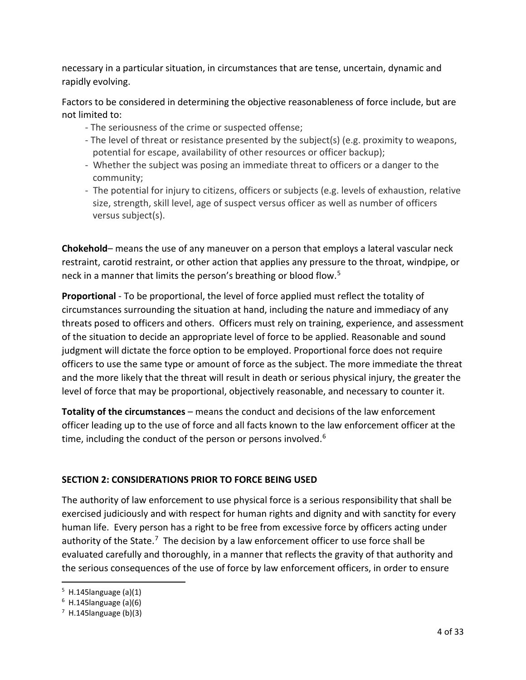necessary in a particular situation, in circumstances that are tense, uncertain, dynamic and rapidly evolving.

Factors to be considered in determining the objective reasonableness of force include, but are not limited to:

- The seriousness of the crime or suspected offense;
- The level of threat or resistance presented by the subject(s) (e.g. proximity to weapons, potential for escape, availability of other resources or officer backup);
- Whether the subject was posing an immediate threat to officers or a danger to the community;
- The potential for injury to citizens, officers or subjects (e.g. levels of exhaustion, relative size, strength, skill level, age of suspect versus officer as well as number of officers versus subject(s).

**Chokehold**– means the use of any maneuver on a person that employs a lateral vascular neck restraint, carotid restraint, or other action that applies any pressure to the throat, windpipe, or neck in a manner that limits the person's breathing or blood flow.<sup>[5](#page-3-0)</sup>

**Proportional** - To be proportional, the level of force applied must reflect the totality of circumstances surrounding the situation at hand, including the nature and immediacy of any threats posed to officers and others. Officers must rely on training, experience, and assessment of the situation to decide an appropriate level of force to be applied. Reasonable and sound judgment will dictate the force option to be employed. Proportional force does not require officers to use the same type or amount of force as the subject. The more immediate the threat and the more likely that the threat will result in death or serious physical injury, the greater the level of force that may be proportional, objectively reasonable, and necessary to counter it.

**Totality of the circumstances** – means the conduct and decisions of the law enforcement officer leading up to the use of force and all facts known to the law enforcement officer at the time, including the conduct of the person or persons involved.<sup>6</sup>

## **SECTION 2: CONSIDERATIONS PRIOR TO FORCE BEING USED**

The authority of law enforcement to use physical force is a serious responsibility that shall be exercised judiciously and with respect for human rights and dignity and with sanctity for every human life. Every person has a right to be free from excessive force by officers acting under authority of the State.<sup>[7](#page-3-2)</sup> The decision by a law enforcement officer to use force shall be evaluated carefully and thoroughly, in a manner that reflects the gravity of that authority and the serious consequences of the use of force by law enforcement officers, in order to ensure

<span id="page-3-0"></span> $^5$  H.145language (a)(1)<br> $^6$  H 145language (a)(6)

<span id="page-3-1"></span> $6$  H.145 language (a)(6)

<span id="page-3-2"></span> $7$  H.145 language (b)(3)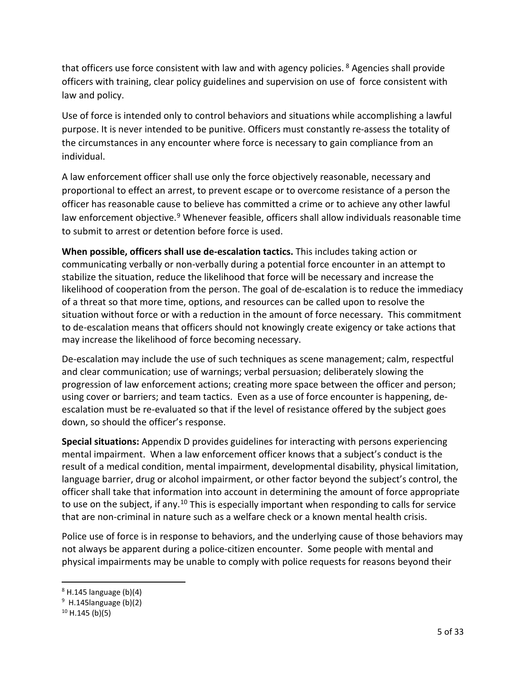that officers use force consistent with law and with agency policies. <sup>[8](#page-4-0)</sup> Agencies shall provide officers with training, clear policy guidelines and supervision on use of force consistent with law and policy.

Use of force is intended only to control behaviors and situations while accomplishing a lawful purpose. It is never intended to be punitive. Officers must constantly re-assess the totality of the circumstances in any encounter where force is necessary to gain compliance from an individual.

A law enforcement officer shall use only the force objectively reasonable, necessary and proportional to effect an arrest, to prevent escape or to overcome resistance of a person the officer has reasonable cause to believe has committed a crime or to achieve any other lawful law enforcement objective.<sup>[9](#page-4-1)</sup> Whenever feasible, officers shall allow individuals reasonable time to submit to arrest or detention before force is used.

**When possible, officers shall use de-escalation tactics.** This includes taking action or communicating verbally or non-verbally during a potential force encounter in an attempt to stabilize the situation, reduce the likelihood that force will be necessary and increase the likelihood of cooperation from the person. The goal of de-escalation is to reduce the immediacy of a threat so that more time, options, and resources can be called upon to resolve the situation without force or with a reduction in the amount of force necessary. This commitment to de-escalation means that officers should not knowingly create exigency or take actions that may increase the likelihood of force becoming necessary.

De-escalation may include the use of such techniques as scene management; calm, respectful and clear communication; use of warnings; verbal persuasion; deliberately slowing the progression of law enforcement actions; creating more space between the officer and person; using cover or barriers; and team tactics. Even as a use of force encounter is happening, deescalation must be re-evaluated so that if the level of resistance offered by the subject goes down, so should the officer's response.

**Special situations:** Appendix D provides guidelines for interacting with persons experiencing mental impairment. When a law enforcement officer knows that a subject's conduct is the result of a medical condition, mental impairment, developmental disability, physical limitation, language barrier, drug or alcohol impairment, or other factor beyond the subject's control, the officer shall take that information into account in determining the amount of force appropriate to use on the subject, if any.<sup>[10](#page-4-2)</sup> This is especially important when responding to calls for service that are non-criminal in nature such as a welfare check or a known mental health crisis.

Police use of force is in response to behaviors, and the underlying cause of those behaviors may not always be apparent during a police-citizen encounter. Some people with mental and physical impairments may be unable to comply with police requests for reasons beyond their

<span id="page-4-0"></span> $8$  H.145 language (b)(4)

<span id="page-4-1"></span> $9$  H.145language (b)(2)

<span id="page-4-2"></span> $10$  H.145 (b)(5)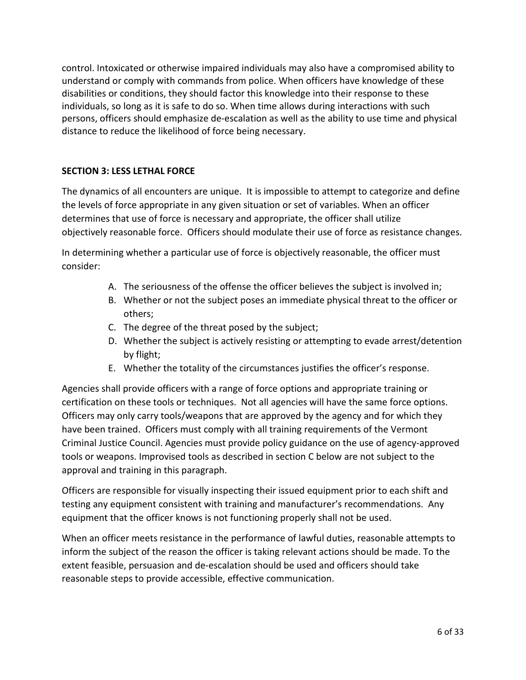control. Intoxicated or otherwise impaired individuals may also have a compromised ability to understand or comply with commands from police. When officers have knowledge of these disabilities or conditions, they should factor this knowledge into their response to these individuals, so long as it is safe to do so. When time allows during interactions with such persons, officers should emphasize de-escalation as well as the ability to use time and physical distance to reduce the likelihood of force being necessary.

## **SECTION 3: LESS LETHAL FORCE**

The dynamics of all encounters are unique. It is impossible to attempt to categorize and define the levels of force appropriate in any given situation or set of variables. When an officer determines that use of force is necessary and appropriate, the officer shall utilize objectively reasonable force. Officers should modulate their use of force as resistance changes.

In determining whether a particular use of force is objectively reasonable, the officer must consider:

- A. The seriousness of the offense the officer believes the subject is involved in;
- B. Whether or not the subject poses an immediate physical threat to the officer or others;
- C. The degree of the threat posed by the subject;
- D. Whether the subject is actively resisting or attempting to evade arrest/detention by flight;
- E. Whether the totality of the circumstances justifies the officer's response.

Agencies shall provide officers with a range of force options and appropriate training or certification on these tools or techniques. Not all agencies will have the same force options. Officers may only carry tools/weapons that are approved by the agency and for which they have been trained. Officers must comply with all training requirements of the Vermont Criminal Justice Council. Agencies must provide policy guidance on the use of agency-approved tools or weapons. Improvised tools as described in section C below are not subject to the approval and training in this paragraph.

Officers are responsible for visually inspecting their issued equipment prior to each shift and testing any equipment consistent with training and manufacturer's recommendations. Any equipment that the officer knows is not functioning properly shall not be used.

When an officer meets resistance in the performance of lawful duties, reasonable attempts to inform the subject of the reason the officer is taking relevant actions should be made. To the extent feasible, persuasion and de-escalation should be used and officers should take reasonable steps to provide accessible, effective communication.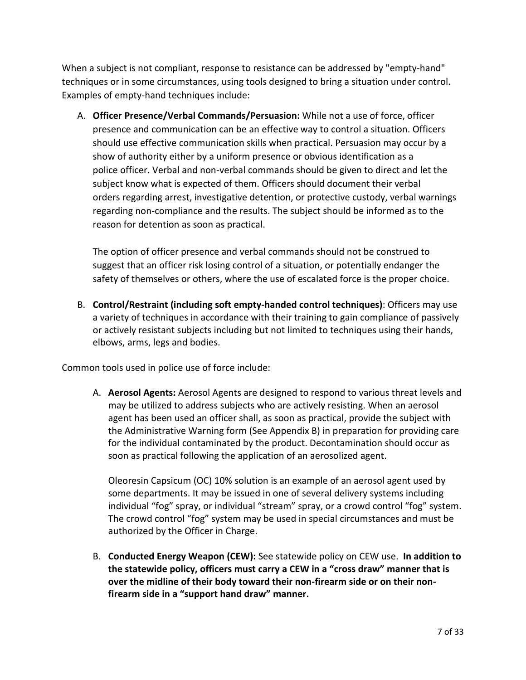When a subject is not compliant, response to resistance can be addressed by "empty-hand" techniques or in some circumstances, using tools designed to bring a situation under control. Examples of empty-hand techniques include:

A. **Officer Presence/Verbal Commands/Persuasion:** While not a use of force, officer presence and communication can be an effective way to control a situation. Officers should use effective communication skills when practical. Persuasion may occur by a show of authority either by a uniform presence or obvious identification as a police officer. Verbal and non-verbal commands should be given to direct and let the subject know what is expected of them. Officers should document their verbal orders regarding arrest, investigative detention, or protective custody, verbal warnings regarding non-compliance and the results. The subject should be informed as to the reason for detention as soon as practical.

The option of officer presence and verbal commands should not be construed to suggest that an officer risk losing control of a situation, or potentially endanger the safety of themselves or others, where the use of escalated force is the proper choice.

B. **Control/Restraint (including soft empty-handed control techniques)**: Officers may use a variety of techniques in accordance with their training to gain compliance of passively or actively resistant subjects including but not limited to techniques using their hands, elbows, arms, legs and bodies.

Common tools used in police use of force include:

A. **Aerosol Agents:** Aerosol Agents are designed to respond to various threat levels and may be utilized to address subjects who are actively resisting. When an aerosol agent has been used an officer shall, as soon as practical, provide the subject with the Administrative Warning form (See Appendix B) in preparation for providing care for the individual contaminated by the product. Decontamination should occur as soon as practical following the application of an aerosolized agent.

Oleoresin Capsicum (OC) 10% solution is an example of an aerosol agent used by some departments. It may be issued in one of several delivery systems including individual "fog" spray, or individual "stream" spray, or a crowd control "fog" system. The crowd control "fog" system may be used in special circumstances and must be authorized by the Officer in Charge.

B. **Conducted Energy Weapon (CEW):** See statewide policy on CEW use. **In addition to the statewide policy, officers must carry a CEW in a "cross draw" manner that is over the midline of their body toward their non-firearm side or on their nonfirearm side in a "support hand draw" manner.**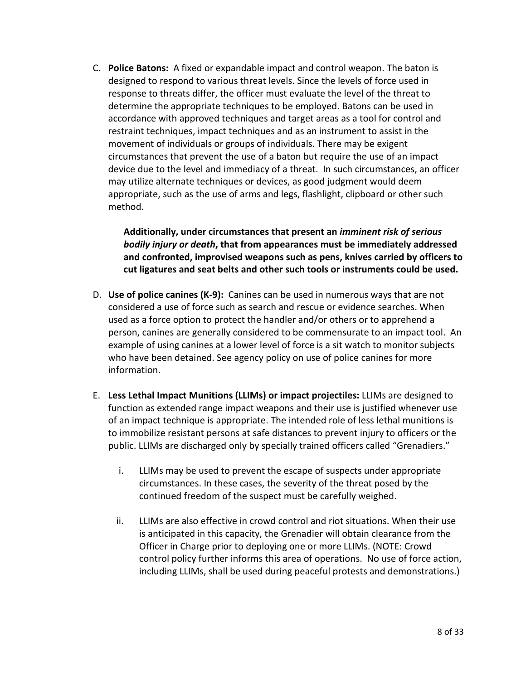C. **Police Batons:** A fixed or expandable impact and control weapon. The baton is designed to respond to various threat levels. Since the levels of force used in response to threats differ, the officer must evaluate the level of the threat to determine the appropriate techniques to be employed. Batons can be used in accordance with approved techniques and target areas as a tool for control and restraint techniques, impact techniques and as an instrument to assist in the movement of individuals or groups of individuals. There may be exigent circumstances that prevent the use of a baton but require the use of an impact device due to the level and immediacy of a threat. In such circumstances, an officer may utilize alternate techniques or devices, as good judgment would deem appropriate, such as the use of arms and legs, flashlight, clipboard or other such method.

**Additionally, under circumstances that present an** *imminent risk of serious bodily injury or death***, that from appearances must be immediately addressed and confronted, improvised weapons such as pens, knives carried by officers to cut ligatures and seat belts and other such tools or instruments could be used.**

- D. **Use of police canines (K-9):** Canines can be used in numerous ways that are not considered a use of force such as search and rescue or evidence searches. When used as a force option to protect the handler and/or others or to apprehend a person, canines are generally considered to be commensurate to an impact tool. An example of using canines at a lower level of force is a sit watch to monitor subjects who have been detained. See agency policy on use of police canines for more information.
- E. **Less Lethal Impact Munitions (LLIMs) or impact projectiles:** LLIMs are designed to function as extended range impact weapons and their use is justified whenever use of an impact technique is appropriate. The intended role of less lethal munitions is to immobilize resistant persons at safe distances to prevent injury to officers or the public. LLIMs are discharged only by specially trained officers called "Grenadiers."
	- i. LLIMs may be used to prevent the escape of suspects under appropriate circumstances. In these cases, the severity of the threat posed by the continued freedom of the suspect must be carefully weighed.
	- ii. LLIMs are also effective in crowd control and riot situations. When their use is anticipated in this capacity, the Grenadier will obtain clearance from the Officer in Charge prior to deploying one or more LLIMs. (NOTE: Crowd control policy further informs this area of operations. No use of force action, including LLIMs, shall be used during peaceful protests and demonstrations.)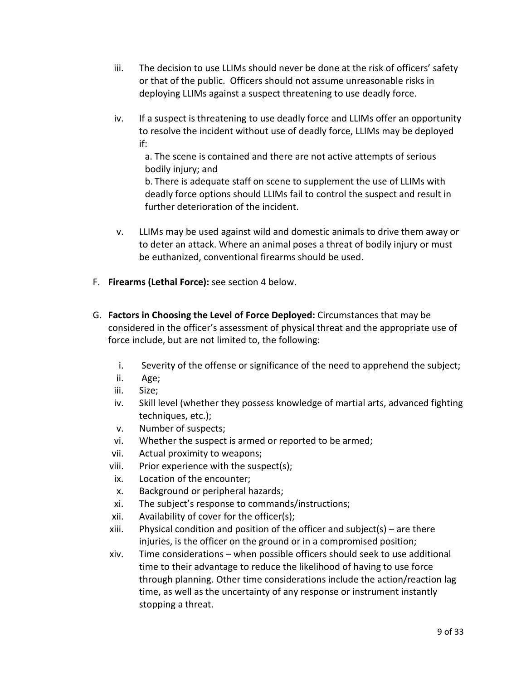- iii. The decision to use LLIMs should never be done at the risk of officers' safety or that of the public. Officers should not assume unreasonable risks in deploying LLIMs against a suspect threatening to use deadly force.
- iv. If a suspect is threatening to use deadly force and LLIMs offer an opportunity to resolve the incident without use of deadly force, LLIMs may be deployed if:

a. The scene is contained and there are not active attempts of serious bodily injury; and

b. There is adequate staff on scene to supplement the use of LLIMs with deadly force options should LLIMs fail to control the suspect and result in further deterioration of the incident.

- v. LLIMs may be used against wild and domestic animals to drive them away or to deter an attack. Where an animal poses a threat of bodily injury or must be euthanized, conventional firearms should be used.
- F. **Firearms (Lethal Force):** see section 4 below.
- G. **Factors in Choosing the Level of Force Deployed:** Circumstances that may be considered in the officer's assessment of physical threat and the appropriate use of force include, but are not limited to, the following:
	- i. Severity of the offense or significance of the need to apprehend the subject;
	- ii. Age;
	- iii. Size;
	- iv. Skill level (whether they possess knowledge of martial arts, advanced fighting techniques, etc.);
	- v. Number of suspects;
	- vi. Whether the suspect is armed or reported to be armed;
	- vii. Actual proximity to weapons;
	- viii. Prior experience with the suspect(s);
	- ix. Location of the encounter;
	- x. Background or peripheral hazards;
	- xi. The subject's response to commands/instructions;
	- xii. Availability of cover for the officer(s);
	- xiii. Physical condition and position of the officer and subject(s) are there injuries, is the officer on the ground or in a compromised position;
	- xiv. Time considerations when possible officers should seek to use additional time to their advantage to reduce the likelihood of having to use force through planning. Other time considerations include the action/reaction lag time, as well as the uncertainty of any response or instrument instantly stopping a threat.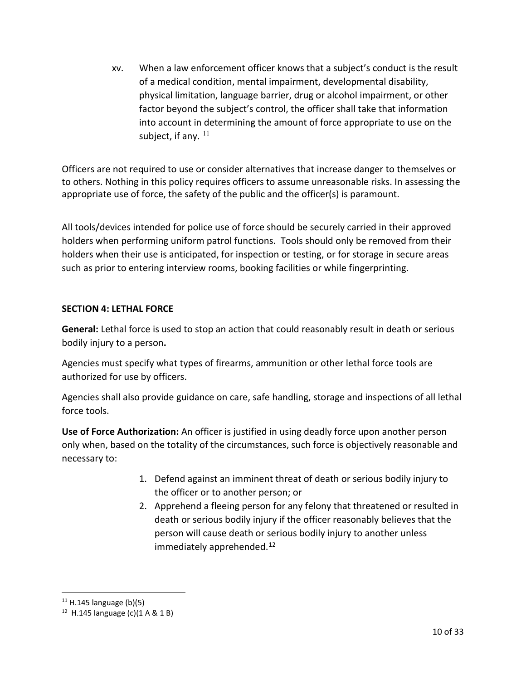xv. When a law enforcement officer knows that a subject's conduct is the result of a medical condition, mental impairment, developmental disability, physical limitation, language barrier, drug or alcohol impairment, or other factor beyond the subject's control, the officer shall take that information into account in determining the amount of force appropriate to use on the subject, if any.  $11$ 

Officers are not required to use or consider alternatives that increase danger to themselves or to others. Nothing in this policy requires officers to assume unreasonable risks. In assessing the appropriate use of force, the safety of the public and the officer(s) is paramount.

All tools/devices intended for police use of force should be securely carried in their approved holders when performing uniform patrol functions. Tools should only be removed from their holders when their use is anticipated, for inspection or testing, or for storage in secure areas such as prior to entering interview rooms, booking facilities or while fingerprinting.

## **SECTION 4: LETHAL FORCE**

**General:** Lethal force is used to stop an action that could reasonably result in death or serious bodily injury to a person**.** 

Agencies must specify what types of firearms, ammunition or other lethal force tools are authorized for use by officers.

Agencies shall also provide guidance on care, safe handling, storage and inspections of all lethal force tools.

**Use of Force Authorization:** An officer is justified in using deadly force upon another person only when, based on the totality of the circumstances, such force is objectively reasonable and necessary to:

- 1. Defend against an imminent threat of death or serious bodily injury to the officer or to another person; or
- 2. Apprehend a fleeing person for any felony that threatened or resulted in death or serious bodily injury if the officer reasonably believes that the person will cause death or serious bodily injury to another unless immediately apprehended.<sup>[12](#page-9-1)</sup>

<span id="page-9-0"></span> $11$  H.145 language (b)(5)

<span id="page-9-1"></span><sup>12</sup> H.145 language (c)(1 A & 1 B)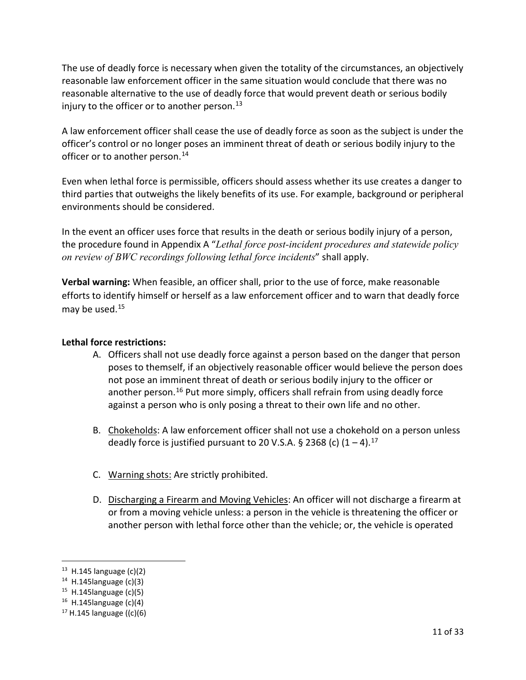The use of deadly force is necessary when given the totality of the circumstances, an objectively reasonable law enforcement officer in the same situation would conclude that there was no reasonable alternative to the use of deadly force that would prevent death or serious bodily injury to the officer or to another person. $^{13}$  $^{13}$  $^{13}$ 

A law enforcement officer shall cease the use of deadly force as soon as the subject is under the officer's control or no longer poses an imminent threat of death or serious bodily injury to the officer or to another person.<sup>[14](#page-10-1)</sup>

Even when lethal force is permissible, officers should assess whether its use creates a danger to third parties that outweighs the likely benefits of its use. For example, background or peripheral environments should be considered.

In the event an officer uses force that results in the death or serious bodily injury of a person, the procedure found in Appendix A "*Lethal force post-incident procedures and statewide policy on review of BWC recordings following lethal force incidents*" shall apply.

**Verbal warning:** When feasible, an officer shall, prior to the use of force, make reasonable efforts to identify himself or herself as a law enforcement officer and to warn that deadly force may be used.<sup>[15](#page-10-2)</sup>

### **Lethal force restrictions:**

- A. Officers shall not use deadly force against a person based on the danger that person poses to themself, if an objectively reasonable officer would believe the person does not pose an imminent threat of death or serious bodily injury to the officer or another person.<sup>[16](#page-10-3)</sup> Put more simply, officers shall refrain from using deadly force against a person who is only posing a threat to their own life and no other.
- B. Chokeholds: A law enforcement officer shall not use a chokehold on a person unless deadly force is justified pursuant to 20 V.S.A. § 2368 (c)  $(1 - 4)$ .<sup>[17](#page-10-4)</sup>
- C. Warning shots: Are strictly prohibited.
- D. Discharging a Firearm and Moving Vehicles: An officer will not discharge a firearm at or from a moving vehicle unless: a person in the vehicle is threatening the officer or another person with lethal force other than the vehicle; or, the vehicle is operated

<span id="page-10-0"></span> $13$  H.145 language (c)(2)

<span id="page-10-1"></span> $14$  H.145 language (c)(3)

<span id="page-10-2"></span> $15$  H.145 language (c)(5)

<span id="page-10-3"></span> $16$  H.145 language (c)(4)

<span id="page-10-4"></span> $17$  H.145 language ((c)(6)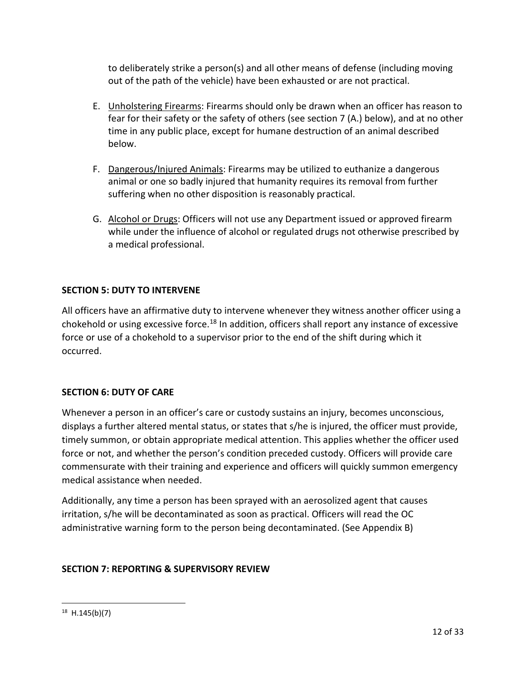to deliberately strike a person(s) and all other means of defense (including moving out of the path of the vehicle) have been exhausted or are not practical.

- E. Unholstering Firearms: Firearms should only be drawn when an officer has reason to fear for their safety or the safety of others (see section 7 (A.) below), and at no other time in any public place, except for humane destruction of an animal described below.
- F. Dangerous/Injured Animals: Firearms may be utilized to euthanize a dangerous animal or one so badly injured that humanity requires its removal from further suffering when no other disposition is reasonably practical.
- G. Alcohol or Drugs: Officers will not use any Department issued or approved firearm while under the influence of alcohol or regulated drugs not otherwise prescribed by a medical professional.

## **SECTION 5: DUTY TO INTERVENE**

All officers have an affirmative duty to intervene whenever they witness another officer using a chokehold or using excessive force.[18](#page-11-0) In addition, officers shall report any instance of excessive force or use of a chokehold to a supervisor prior to the end of the shift during which it occurred.

## **SECTION 6: DUTY OF CARE**

Whenever a person in an officer's care or custody sustains an injury, becomes unconscious, displays a further altered mental status, or states that s/he is injured, the officer must provide, timely summon, or obtain appropriate medical attention. This applies whether the officer used force or not, and whether the person's condition preceded custody. Officers will provide care commensurate with their training and experience and officers will quickly summon emergency medical assistance when needed.

Additionally, any time a person has been sprayed with an aerosolized agent that causes irritation, s/he will be decontaminated as soon as practical. Officers will read the OC administrative warning form to the person being decontaminated. (See Appendix B)

## **SECTION 7: REPORTING & SUPERVISORY REVIEW**

<span id="page-11-0"></span> $18$  H.145(b)(7)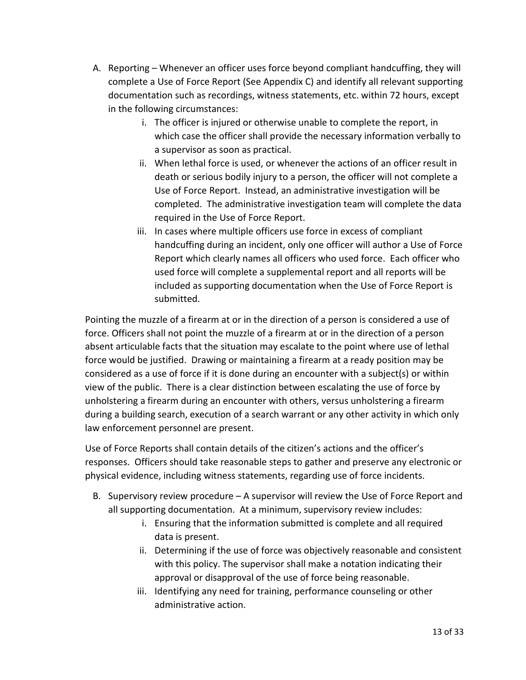- A. Reporting Whenever an officer uses force beyond compliant handcuffing, they will complete a Use of Force Report (See Appendix C) and identify all relevant supporting documentation such as recordings, witness statements, etc. within 72 hours, except in the following circumstances:
	- i. The officer is injured or otherwise unable to complete the report, in which case the officer shall provide the necessary information verbally to a supervisor as soon as practical.
	- ii. When lethal force is used, or whenever the actions of an officer result in death or serious bodily injury to a person, the officer will not complete a Use of Force Report. Instead, an administrative investigation will be completed. The administrative investigation team will complete the data required in the Use of Force Report.
	- iii. In cases where multiple officers use force in excess of compliant handcuffing during an incident, only one officer will author a Use of Force Report which clearly names all officers who used force. Each officer who used force will complete a supplemental report and all reports will be included as supporting documentation when the Use of Force Report is submitted.

Pointing the muzzle of a firearm at or in the direction of a person is considered a use of force. Officers shall not point the muzzle of a firearm at or in the direction of a person absent articulable facts that the situation may escalate to the point where use of lethal force would be justified. Drawing or maintaining a firearm at a ready position may be considered as a use of force if it is done during an encounter with a subject(s) or within view of the public. There is a clear distinction between escalating the use of force by unholstering a firearm during an encounter with others, versus unholstering a firearm during a building search, execution of a search warrant or any other activity in which only law enforcement personnel are present.

Use of Force Reports shall contain details of the citizen's actions and the officer's responses. Officers should take reasonable steps to gather and preserve any electronic or physical evidence, including witness statements, regarding use of force incidents.

- B. Supervisory review procedure A supervisor will review the Use of Force Report and all supporting documentation. At a minimum, supervisory review includes:
	- i. Ensuring that the information submitted is complete and all required data is present.
	- ii. Determining if the use of force was objectively reasonable and consistent with this policy. The supervisor shall make a notation indicating their approval or disapproval of the use of force being reasonable.
	- iii. Identifying any need for training, performance counseling or other administrative action.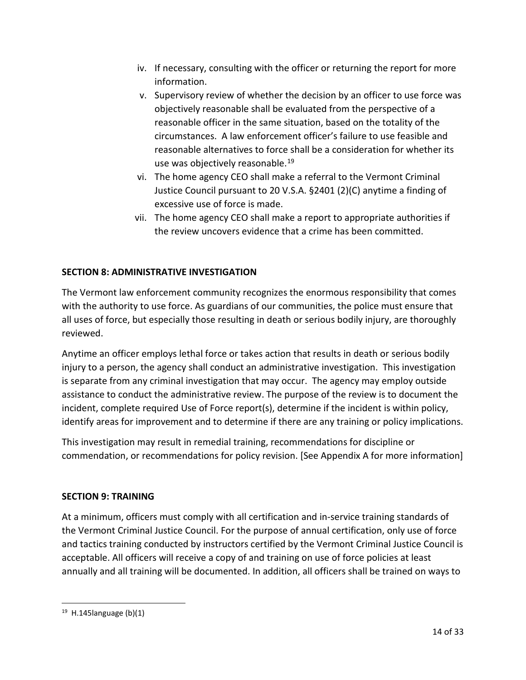- iv. If necessary, consulting with the officer or returning the report for more information.
- v. Supervisory review of whether the decision by an officer to use force was objectively reasonable shall be evaluated from the perspective of a reasonable officer in the same situation, based on the totality of the circumstances. A law enforcement officer's failure to use feasible and reasonable alternatives to force shall be a consideration for whether its use was objectively reasonable.[19](#page-13-0)
- vi. The home agency CEO shall make a referral to the Vermont Criminal Justice Council pursuant to 20 V.S.A. §2401 (2)(C) anytime a finding of excessive use of force is made.
- vii. The home agency CEO shall make a report to appropriate authorities if the review uncovers evidence that a crime has been committed.

## **SECTION 8: ADMINISTRATIVE INVESTIGATION**

The Vermont law enforcement community recognizes the enormous responsibility that comes with the authority to use force. As guardians of our communities, the police must ensure that all uses of force, but especially those resulting in death or serious bodily injury, are thoroughly reviewed.

Anytime an officer employs lethal force or takes action that results in death or serious bodily injury to a person, the agency shall conduct an administrative investigation. This investigation is separate from any criminal investigation that may occur. The agency may employ outside assistance to conduct the administrative review. The purpose of the review is to document the incident, complete required Use of Force report(s), determine if the incident is within policy, identify areas for improvement and to determine if there are any training or policy implications.

This investigation may result in remedial training, recommendations for discipline or commendation, or recommendations for policy revision. [See Appendix A for more information]

## **SECTION 9: TRAINING**

At a minimum, officers must comply with all certification and in-service training standards of the Vermont Criminal Justice Council. For the purpose of annual certification, only use of force and tactics training conducted by instructors certified by the Vermont Criminal Justice Council is acceptable. All officers will receive a copy of and training on use of force policies at least annually and all training will be documented. In addition, all officers shall be trained on ways to

<span id="page-13-0"></span> $19$  H.145 language (b)(1)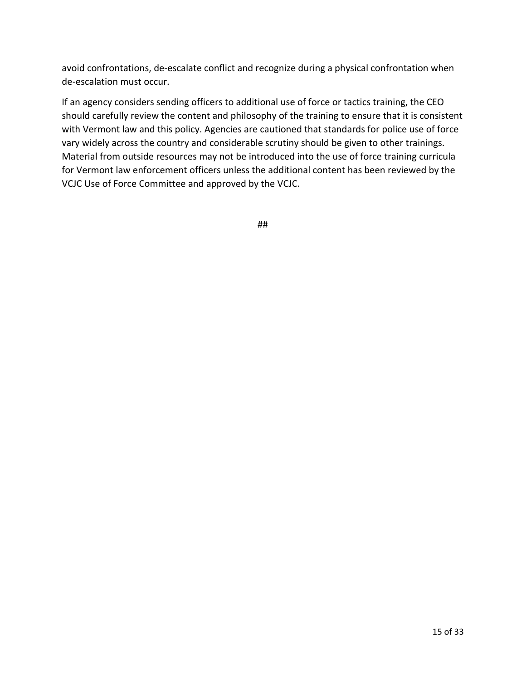avoid confrontations, de-escalate conflict and recognize during a physical confrontation when de-escalation must occur.

If an agency considers sending officers to additional use of force or tactics training, the CEO should carefully review the content and philosophy of the training to ensure that it is consistent with Vermont law and this policy. Agencies are cautioned that standards for police use of force vary widely across the country and considerable scrutiny should be given to other trainings. Material from outside resources may not be introduced into the use of force training curricula for Vermont law enforcement officers unless the additional content has been reviewed by the VCJC Use of Force Committee and approved by the VCJC.

##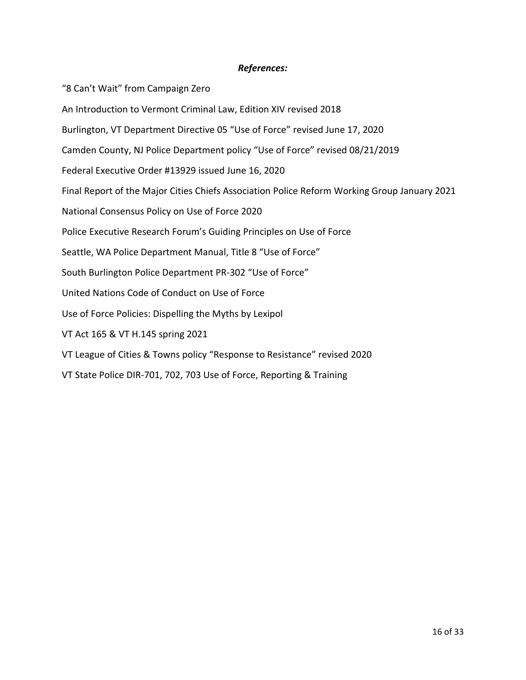#### *References:*

"8 Can't Wait" from Campaign Zero An Introduction to Vermont Criminal Law, Edition XIV revised 2018 Burlington, VT Department Directive 05 "Use of Force" revised June 17, 2020 Camden County, NJ Police Department policy "Use of Force" revised 08/21/2019 Federal Executive Order #13929 issued June 16, 2020 Final Report of the Major Cities Chiefs Association Police Reform Working Group January 2021 National Consensus Policy on Use of Force 2020 Police Executive Research Forum's Guiding Principles on Use of Force Seattle, WA Police Department Manual, Title 8 "Use of Force" South Burlington Police Department PR-302 "Use of Force" United Nations Code of Conduct on Use of Force Use of Force Policies: Dispelling the Myths by Lexipol VT Act 165 & VT H.145 spring 2021 VT League of Cities & Towns policy "Response to Resistance" revised 2020 VT State Police DIR-701, 702, 703 Use of Force, Reporting & Training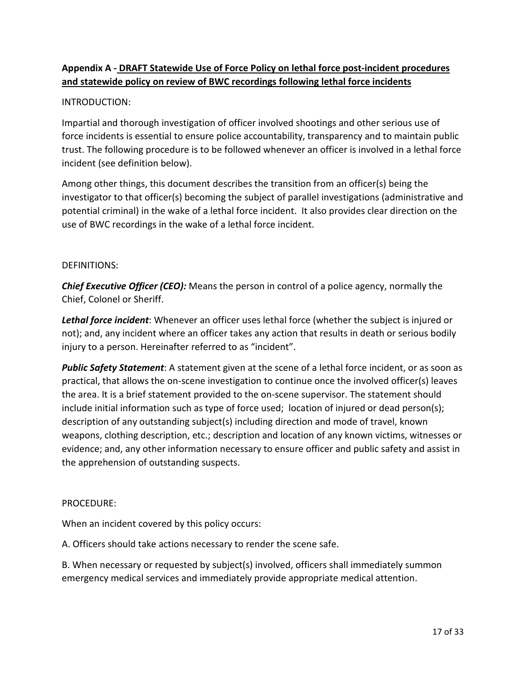# **Appendix A - DRAFT Statewide Use of Force Policy on lethal force post-incident procedures and statewide policy on review of BWC recordings following lethal force incidents**

## INTRODUCTION:

Impartial and thorough investigation of officer involved shootings and other serious use of force incidents is essential to ensure police accountability, transparency and to maintain public trust. The following procedure is to be followed whenever an officer is involved in a lethal force incident (see definition below).

Among other things, this document describes the transition from an officer(s) being the investigator to that officer(s) becoming the subject of parallel investigations (administrative and potential criminal) in the wake of a lethal force incident. It also provides clear direction on the use of BWC recordings in the wake of a lethal force incident.

#### DEFINITIONS:

*Chief Executive Officer (CEO):* Means the person in control of a police agency, normally the Chief, Colonel or Sheriff.

*Lethal force incident*: Whenever an officer uses lethal force (whether the subject is injured or not); and, any incident where an officer takes any action that results in death or serious bodily injury to a person. Hereinafter referred to as "incident".

*Public Safety Statement*: A statement given at the scene of a lethal force incident, or as soon as practical, that allows the on-scene investigation to continue once the involved officer(s) leaves the area. It is a brief statement provided to the on-scene supervisor. The statement should include initial information such as type of force used; location of injured or dead person(s); description of any outstanding subject(s) including direction and mode of travel, known weapons, clothing description, etc.; description and location of any known victims, witnesses or evidence; and, any other information necessary to ensure officer and public safety and assist in the apprehension of outstanding suspects.

#### PROCEDURE:

When an incident covered by this policy occurs:

A. Officers should take actions necessary to render the scene safe.

B. When necessary or requested by subject(s) involved, officers shall immediately summon emergency medical services and immediately provide appropriate medical attention.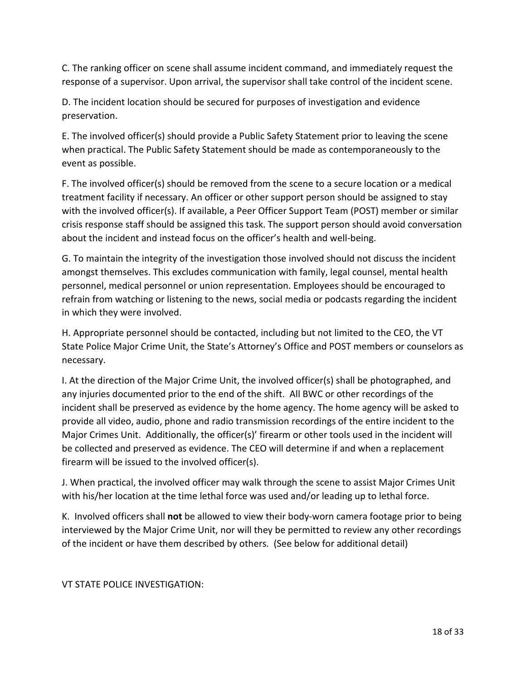C. The ranking officer on scene shall assume incident command, and immediately request the response of a supervisor. Upon arrival, the supervisor shall take control of the incident scene.

D. The incident location should be secured for purposes of investigation and evidence preservation.

E. The involved officer(s) should provide a Public Safety Statement prior to leaving the scene when practical. The Public Safety Statement should be made as contemporaneously to the event as possible.

F. The involved officer(s) should be removed from the scene to a secure location or a medical treatment facility if necessary. An officer or other support person should be assigned to stay with the involved officer(s). If available, a Peer Officer Support Team (POST) member or similar crisis response staff should be assigned this task. The support person should avoid conversation about the incident and instead focus on the officer's health and well-being.

G. To maintain the integrity of the investigation those involved should not discuss the incident amongst themselves. This excludes communication with family, legal counsel, mental health personnel, medical personnel or union representation. Employees should be encouraged to refrain from watching or listening to the news, social media or podcasts regarding the incident in which they were involved.

H. Appropriate personnel should be contacted, including but not limited to the CEO, the VT State Police Major Crime Unit, the State's Attorney's Office and POST members or counselors as necessary.

I. At the direction of the Major Crime Unit, the involved officer(s) shall be photographed, and any injuries documented prior to the end of the shift. All BWC or other recordings of the incident shall be preserved as evidence by the home agency. The home agency will be asked to provide all video, audio, phone and radio transmission recordings of the entire incident to the Major Crimes Unit. Additionally, the officer(s)' firearm or other tools used in the incident will be collected and preserved as evidence. The CEO will determine if and when a replacement firearm will be issued to the involved officer(s).

J. When practical, the involved officer may walk through the scene to assist Major Crimes Unit with his/her location at the time lethal force was used and/or leading up to lethal force.

K. Involved officers shall **not** be allowed to view their body-worn camera footage prior to being interviewed by the Major Crime Unit, nor will they be permitted to review any other recordings of the incident or have them described by others. (See below for additional detail)

## VT STATE POLICE INVESTIGATION: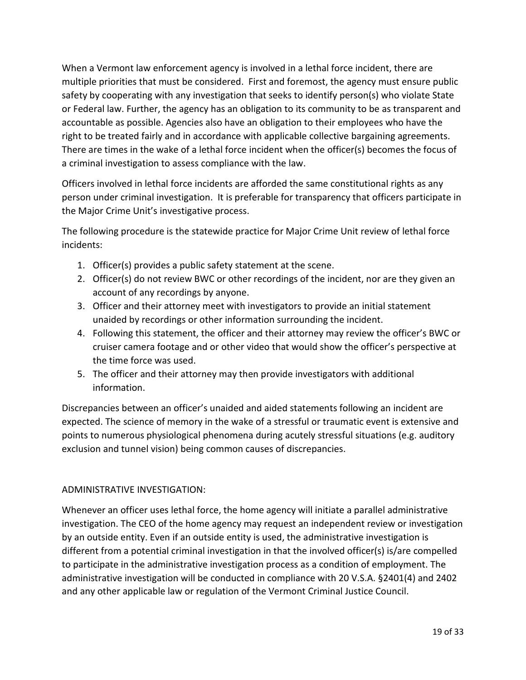When a Vermont law enforcement agency is involved in a lethal force incident, there are multiple priorities that must be considered. First and foremost, the agency must ensure public safety by cooperating with any investigation that seeks to identify person(s) who violate State or Federal law. Further, the agency has an obligation to its community to be as transparent and accountable as possible. Agencies also have an obligation to their employees who have the right to be treated fairly and in accordance with applicable collective bargaining agreements. There are times in the wake of a lethal force incident when the officer(s) becomes the focus of a criminal investigation to assess compliance with the law.

Officers involved in lethal force incidents are afforded the same constitutional rights as any person under criminal investigation. It is preferable for transparency that officers participate in the Major Crime Unit's investigative process.

The following procedure is the statewide practice for Major Crime Unit review of lethal force incidents:

- 1. Officer(s) provides a public safety statement at the scene.
- 2. Officer(s) do not review BWC or other recordings of the incident, nor are they given an account of any recordings by anyone.
- 3. Officer and their attorney meet with investigators to provide an initial statement unaided by recordings or other information surrounding the incident.
- 4. Following this statement, the officer and their attorney may review the officer's BWC or cruiser camera footage and or other video that would show the officer's perspective at the time force was used.
- 5. The officer and their attorney may then provide investigators with additional information.

Discrepancies between an officer's unaided and aided statements following an incident are expected. The science of memory in the wake of a stressful or traumatic event is extensive and points to numerous physiological phenomena during acutely stressful situations (e.g. auditory exclusion and tunnel vision) being common causes of discrepancies.

## ADMINISTRATIVE INVESTIGATION:

Whenever an officer uses lethal force, the home agency will initiate a parallel administrative investigation. The CEO of the home agency may request an independent review or investigation by an outside entity. Even if an outside entity is used, the administrative investigation is different from a potential criminal investigation in that the involved officer(s) is/are compelled to participate in the administrative investigation process as a condition of employment. The administrative investigation will be conducted in compliance with 20 V.S.A. §2401(4) and 2402 and any other applicable law or regulation of the Vermont Criminal Justice Council.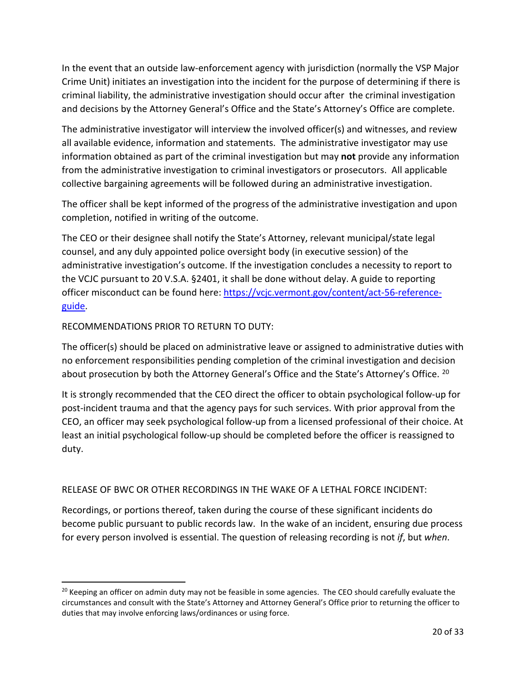In the event that an outside law-enforcement agency with jurisdiction (normally the VSP Major Crime Unit) initiates an investigation into the incident for the purpose of determining if there is criminal liability, the administrative investigation should occur after the criminal investigation and decisions by the Attorney General's Office and the State's Attorney's Office are complete.

The administrative investigator will interview the involved officer(s) and witnesses, and review all available evidence, information and statements. The administrative investigator may use information obtained as part of the criminal investigation but may **not** provide any information from the administrative investigation to criminal investigators or prosecutors. All applicable collective bargaining agreements will be followed during an administrative investigation.

The officer shall be kept informed of the progress of the administrative investigation and upon completion, notified in writing of the outcome.

The CEO or their designee shall notify the State's Attorney, relevant municipal/state legal counsel, and any duly appointed police oversight body (in executive session) of the administrative investigation's outcome. If the investigation concludes a necessity to report to the VCJC pursuant to 20 V.S.A. §2401, it shall be done without delay. A guide to reporting officer misconduct can be found here: [https://vcjc.vermont.gov/content/act-56-reference](https://vcjc.vermont.gov/content/act-56-reference-guide)[guide.](https://vcjc.vermont.gov/content/act-56-reference-guide)

## RECOMMENDATIONS PRIOR TO RETURN TO DUTY:

The officer(s) should be placed on administrative leave or assigned to administrative duties with no enforcement responsibilities pending completion of the criminal investigation and decision about prosecution by both the Attorney General's Office and the State's Attorney's Office. <sup>[20](#page-19-0)</sup>

It is strongly recommended that the CEO direct the officer to obtain psychological follow-up for post-incident trauma and that the agency pays for such services. With prior approval from the CEO, an officer may seek psychological follow-up from a licensed professional of their choice. At least an initial psychological follow-up should be completed before the officer is reassigned to duty.

#### RELEASE OF BWC OR OTHER RECORDINGS IN THE WAKE OF A LETHAL FORCE INCIDENT:

Recordings, or portions thereof, taken during the course of these significant incidents do become public pursuant to public records law. In the wake of an incident, ensuring due process for every person involved is essential. The question of releasing recording is not *if*, but *when*.

<span id="page-19-0"></span><sup>&</sup>lt;sup>20</sup> Keeping an officer on admin duty may not be feasible in some agencies. The CEO should carefully evaluate the circumstances and consult with the State's Attorney and Attorney General's Office prior to returning the officer to duties that may involve enforcing laws/ordinances or using force.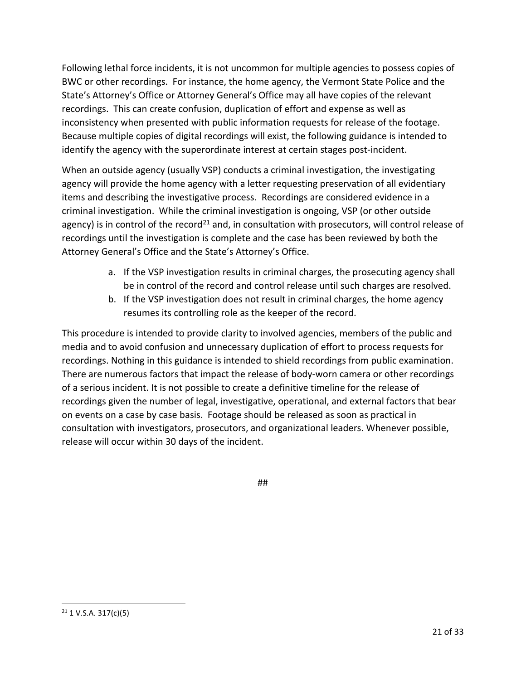Following lethal force incidents, it is not uncommon for multiple agencies to possess copies of BWC or other recordings. For instance, the home agency, the Vermont State Police and the State's Attorney's Office or Attorney General's Office may all have copies of the relevant recordings. This can create confusion, duplication of effort and expense as well as inconsistency when presented with public information requests for release of the footage. Because multiple copies of digital recordings will exist, the following guidance is intended to identify the agency with the superordinate interest at certain stages post-incident.

When an outside agency (usually VSP) conducts a criminal investigation, the investigating agency will provide the home agency with a letter requesting preservation of all evidentiary items and describing the investigative process. Recordings are considered evidence in a criminal investigation. While the criminal investigation is ongoing, VSP (or other outside agency) is in control of the record<sup>[21](#page-20-0)</sup> and, in consultation with prosecutors, will control release of recordings until the investigation is complete and the case has been reviewed by both the Attorney General's Office and the State's Attorney's Office.

- a. If the VSP investigation results in criminal charges, the prosecuting agency shall be in control of the record and control release until such charges are resolved.
- b. If the VSP investigation does not result in criminal charges, the home agency resumes its controlling role as the keeper of the record.

This procedure is intended to provide clarity to involved agencies, members of the public and media and to avoid confusion and unnecessary duplication of effort to process requests for recordings. Nothing in this guidance is intended to shield recordings from public examination. There are numerous factors that impact the release of body-worn camera or other recordings of a serious incident. It is not possible to create a definitive timeline for the release of recordings given the number of legal, investigative, operational, and external factors that bear on events on a case by case basis. Footage should be released as soon as practical in consultation with investigators, prosecutors, and organizational leaders. Whenever possible, release will occur within 30 days of the incident.

##

<span id="page-20-0"></span> $21$  1 V.S.A. 317(c)(5)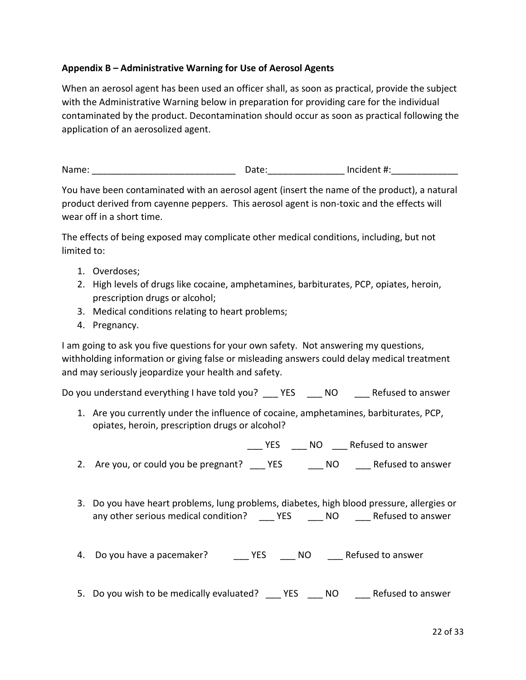## **Appendix B – Administrative Warning for Use of Aerosol Agents**

When an aerosol agent has been used an officer shall, as soon as practical, provide the subject with the Administrative Warning below in preparation for providing care for the individual contaminated by the product. Decontamination should occur as soon as practical following the application of an aerosolized agent.

Name: The contract of the contract of Date: the contract of the line of the contract  $\mathsf{Date}$ :

You have been contaminated with an aerosol agent (insert the name of the product), a natural product derived from cayenne peppers. This aerosol agent is non-toxic and the effects will wear off in a short time.

The effects of being exposed may complicate other medical conditions, including, but not limited to:

- 1. Overdoses;
- 2. High levels of drugs like cocaine, amphetamines, barbiturates, PCP, opiates, heroin, prescription drugs or alcohol;
- 3. Medical conditions relating to heart problems;
- 4. Pregnancy.

I am going to ask you five questions for your own safety. Not answering my questions, withholding information or giving false or misleading answers could delay medical treatment and may seriously jeopardize your health and safety.

Do you understand everything I have told you? YES NO Refused to answer

1. Are you currently under the influence of cocaine, amphetamines, barbiturates, PCP, opiates, heroin, prescription drugs or alcohol?

YES NO Refused to answer

- 2. Are you, or could you be pregnant? YES NO Refused to answer
- 3. Do you have heart problems, lung problems, diabetes, high blood pressure, allergies or any other serious medical condition? \_\_\_\_ YES \_\_\_\_\_ NO \_\_\_\_\_ Refused to answer
- 4. Do you have a pacemaker? \_\_\_\_ YES \_\_\_\_ NO \_\_\_\_ Refused to answer
- 5. Do you wish to be medically evaluated? \_\_\_ YES \_\_\_ NO \_\_\_ Refused to answer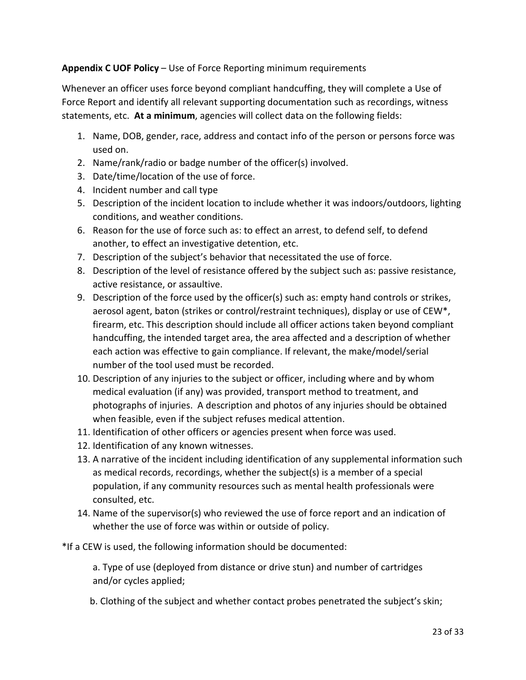## **Appendix C UOF Policy** – Use of Force Reporting minimum requirements

Whenever an officer uses force beyond compliant handcuffing, they will complete a Use of Force Report and identify all relevant supporting documentation such as recordings, witness statements, etc. **At a minimum**, agencies will collect data on the following fields:

- 1. Name, DOB, gender, race, address and contact info of the person or persons force was used on.
- 2. Name/rank/radio or badge number of the officer(s) involved.
- 3. Date/time/location of the use of force.
- 4. Incident number and call type
- 5. Description of the incident location to include whether it was indoors/outdoors, lighting conditions, and weather conditions.
- 6. Reason for the use of force such as: to effect an arrest, to defend self, to defend another, to effect an investigative detention, etc.
- 7. Description of the subject's behavior that necessitated the use of force.
- 8. Description of the level of resistance offered by the subject such as: passive resistance, active resistance, or assaultive.
- 9. Description of the force used by the officer(s) such as: empty hand controls or strikes, aerosol agent, baton (strikes or control/restraint techniques), display or use of CEW\*, firearm, etc. This description should include all officer actions taken beyond compliant handcuffing, the intended target area, the area affected and a description of whether each action was effective to gain compliance. If relevant, the make/model/serial number of the tool used must be recorded.
- 10. Description of any injuries to the subject or officer, including where and by whom medical evaluation (if any) was provided, transport method to treatment, and photographs of injuries. A description and photos of any injuries should be obtained when feasible, even if the subject refuses medical attention.
- 11. Identification of other officers or agencies present when force was used.
- 12. Identification of any known witnesses.
- 13. A narrative of the incident including identification of any supplemental information such as medical records, recordings, whether the subject(s) is a member of a special population, if any community resources such as mental health professionals were consulted, etc.
- 14. Name of the supervisor(s) who reviewed the use of force report and an indication of whether the use of force was within or outside of policy.
- \*If a CEW is used, the following information should be documented:

a. Type of use (deployed from distance or drive stun) and number of cartridges and/or cycles applied;

b. Clothing of the subject and whether contact probes penetrated the subject's skin;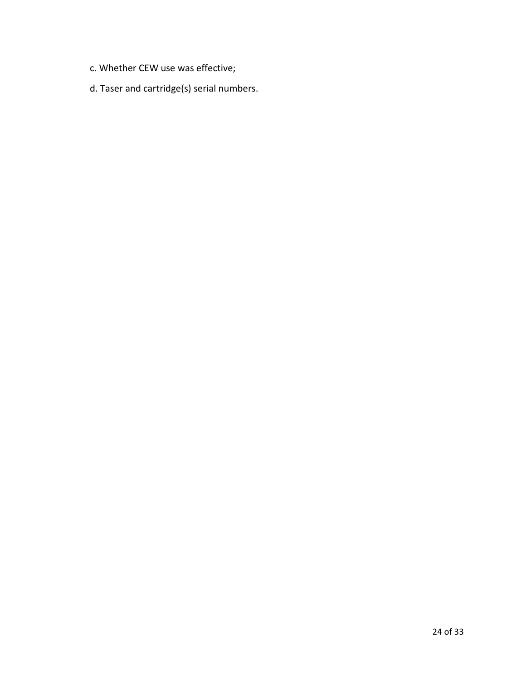- c. Whether CEW use was effective;
- d. Taser and cartridge(s) serial numbers.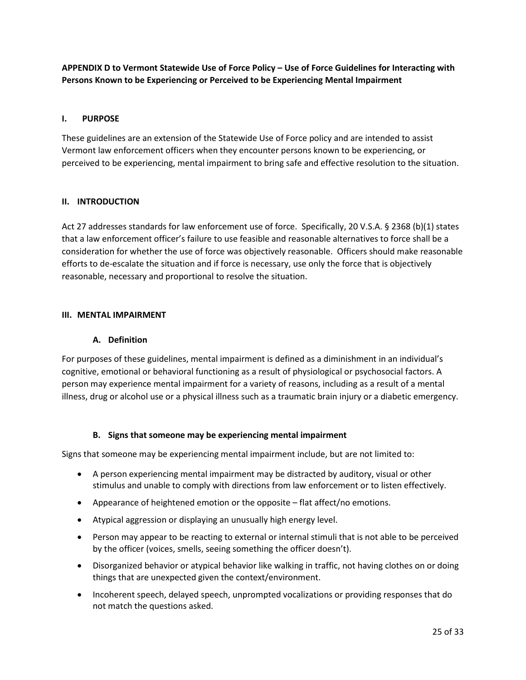**APPENDIX D to Vermont Statewide Use of Force Policy – Use of Force Guidelines for Interacting with Persons Known to be Experiencing or Perceived to be Experiencing Mental Impairment**

#### **I. PURPOSE**

These guidelines are an extension of the Statewide Use of Force policy and are intended to assist Vermont law enforcement officers when they encounter persons known to be experiencing, or perceived to be experiencing, mental impairment to bring safe and effective resolution to the situation.

#### **II. INTRODUCTION**

Act 27 addresses standards for law enforcement use of force. Specifically, 20 V.S.A. § 2368 (b)(1) states that a law enforcement officer's failure to use feasible and reasonable alternatives to force shall be a consideration for whether the use of force was objectively reasonable. Officers should make reasonable efforts to de-escalate the situation and if force is necessary, use only the force that is objectively reasonable, necessary and proportional to resolve the situation.

#### **III. MENTAL IMPAIRMENT**

#### **A. Definition**

For purposes of these guidelines, mental impairment is defined as a diminishment in an individual's cognitive, emotional or behavioral functioning as a result of physiological or psychosocial factors. A person may experience mental impairment for a variety of reasons, including as a result of a mental illness, drug or alcohol use or a physical illness such as a traumatic brain injury or a diabetic emergency.

#### **B. Signs that someone may be experiencing mental impairment**

Signs that someone may be experiencing mental impairment include, but are not limited to:

- A person experiencing mental impairment may be distracted by auditory, visual or other stimulus and unable to comply with directions from law enforcement or to listen effectively.
- Appearance of heightened emotion or the opposite flat affect/no emotions.
- Atypical aggression or displaying an unusually high energy level.
- Person may appear to be reacting to external or internal stimuli that is not able to be perceived by the officer (voices, smells, seeing something the officer doesn't).
- Disorganized behavior or atypical behavior like walking in traffic, not having clothes on or doing things that are unexpected given the context/environment.
- Incoherent speech, delayed speech, unprompted vocalizations or providing responses that do not match the questions asked.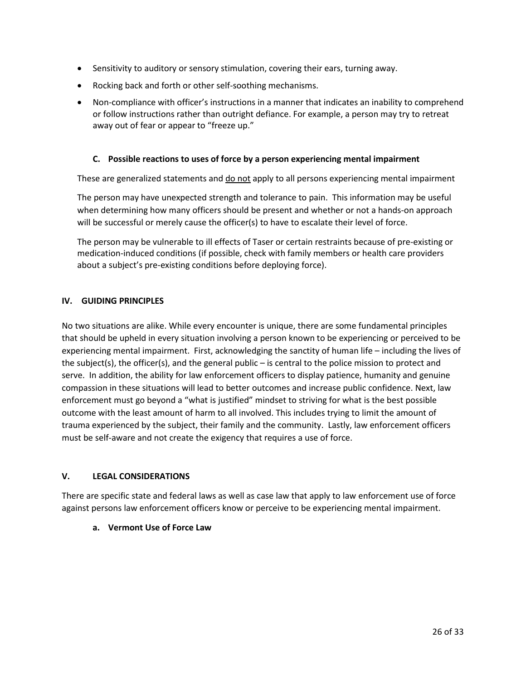- Sensitivity to auditory or sensory stimulation, covering their ears, turning away.
- Rocking back and forth or other self-soothing mechanisms.
- Non-compliance with officer's instructions in a manner that indicates an inability to comprehend or follow instructions rather than outright defiance. For example, a person may try to retreat away out of fear or appear to "freeze up."

#### **C. Possible reactions to uses of force by a person experiencing mental impairment**

These are generalized statements and do not apply to all persons experiencing mental impairment

The person may have unexpected strength and tolerance to pain. This information may be useful when determining how many officers should be present and whether or not a hands-on approach will be successful or merely cause the officer(s) to have to escalate their level of force.

The person may be vulnerable to ill effects of Taser or certain restraints because of pre-existing or medication-induced conditions (if possible, check with family members or health care providers about a subject's pre-existing conditions before deploying force).

#### **IV. GUIDING PRINCIPLES**

No two situations are alike. While every encounter is unique, there are some fundamental principles that should be upheld in every situation involving a person known to be experiencing or perceived to be experiencing mental impairment. First, acknowledging the sanctity of human life – including the lives of the subject(s), the officer(s), and the general public – is central to the police mission to protect and serve. In addition, the ability for law enforcement officers to display patience, humanity and genuine compassion in these situations will lead to better outcomes and increase public confidence. Next, law enforcement must go beyond a "what is justified" mindset to striving for what is the best possible outcome with the least amount of harm to all involved. This includes trying to limit the amount of trauma experienced by the subject, their family and the community. Lastly, law enforcement officers must be self-aware and not create the exigency that requires a use of force.

#### **V. LEGAL CONSIDERATIONS**

There are specific state and federal laws as well as case law that apply to law enforcement use of force against persons law enforcement officers know or perceive to be experiencing mental impairment.

#### **a. Vermont Use of Force Law**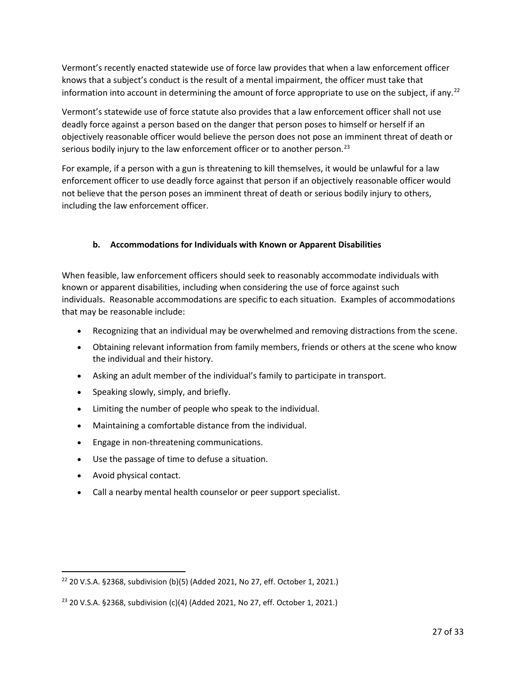Vermont's recently enacted statewide use of force law provides that when a law enforcement officer knows that a subject's conduct is the result of a mental impairment, the officer must take that information into account in determining the amount of force appropriate to use on the subject, if any.<sup>[22](#page-26-0)</sup>

Vermont's statewide use of force statute also provides that a law enforcement officer shall not use deadly force against a person based on the danger that person poses to himself or herself if an objectively reasonable officer would believe the person does not pose an imminent threat of death or serious bodily injury to the law enforcement officer or to another person.<sup>[23](#page-26-1)</sup>

For example, if a person with a gun is threatening to kill themselves, it would be unlawful for a law enforcement officer to use deadly force against that person if an objectively reasonable officer would not believe that the person poses an imminent threat of death or serious bodily injury to others, including the law enforcement officer.

#### **b. Accommodations for Individuals with Known or Apparent Disabilities**

When feasible, law enforcement officers should seek to reasonably accommodate individuals with known or apparent disabilities, including when considering the use of force against such individuals. Reasonable accommodations are specific to each situation. Examples of accommodations that may be reasonable include:

- Recognizing that an individual may be overwhelmed and removing distractions from the scene.
- Obtaining relevant information from family members, friends or others at the scene who know the individual and their history.
- Asking an adult member of the individual's family to participate in transport.
- Speaking slowly, simply, and briefly.
- Limiting the number of people who speak to the individual.
- Maintaining a comfortable distance from the individual.
- Engage in non-threatening communications.
- Use the passage of time to defuse a situation.
- Avoid physical contact.
- Call a nearby mental health counselor or peer support specialist.

<span id="page-26-0"></span><sup>22</sup> 20 V.S.A. §2368, subdivision (b)(5) (Added 2021, No 27, eff. October 1, 2021.)

<span id="page-26-1"></span><sup>&</sup>lt;sup>23</sup> 20 V.S.A. §2368, subdivision (c)(4) (Added 2021, No 27, eff. October 1, 2021.)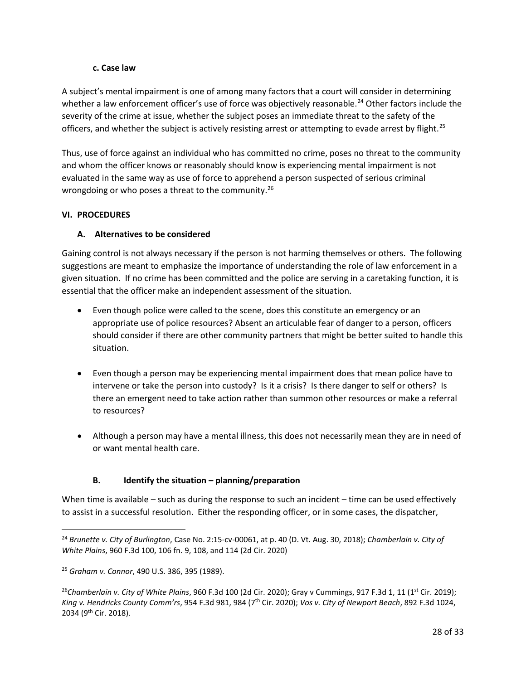#### **c. Case law**

A subject's mental impairment is one of among many factors that a court will consider in determining whether a law enforcement officer's use of force was objectively reasonable.<sup>[24](#page-27-0)</sup> Other factors include the severity of the crime at issue, whether the subject poses an immediate threat to the safety of the officers, and whether the subject is actively resisting arrest or attempting to evade arrest by flight.<sup>[25](#page-27-1)</sup>

Thus, use of force against an individual who has committed no crime, poses no threat to the community and whom the officer knows or reasonably should know is experiencing mental impairment is not evaluated in the same way as use of force to apprehend a person suspected of serious criminal wrongdoing or who poses a threat to the community.<sup>[26](#page-27-2)</sup>

#### **VI. PROCEDURES**

#### **A. Alternatives to be considered**

Gaining control is not always necessary if the person is not harming themselves or others. The following suggestions are meant to emphasize the importance of understanding the role of law enforcement in a given situation. If no crime has been committed and the police are serving in a caretaking function, it is essential that the officer make an independent assessment of the situation.

- Even though police were called to the scene, does this constitute an emergency or an appropriate use of police resources? Absent an articulable fear of danger to a person, officers should consider if there are other community partners that might be better suited to handle this situation.
- Even though a person may be experiencing mental impairment does that mean police have to intervene or take the person into custody? Is it a crisis? Is there danger to self or others? Is there an emergent need to take action rather than summon other resources or make a referral to resources?
- Although a person may have a mental illness, this does not necessarily mean they are in need of or want mental health care.

#### **B. Identify the situation – planning/preparation**

When time is available – such as during the response to such an incident – time can be used effectively to assist in a successful resolution. Either the responding officer, or in some cases, the dispatcher,

<span id="page-27-0"></span><sup>24</sup> *Brunette v. City of Burlington*, Case No. 2:15-cv-00061, at p. 40 (D. Vt. Aug. 30, 2018); *Chamberlain v. City of White Plains*, 960 F.3d 100, 106 fn. 9, 108, and 114 (2d Cir. 2020)

<span id="page-27-1"></span><sup>25</sup> *Graham v. Connor*, 490 U.S. 386, 395 (1989).

<span id="page-27-2"></span><sup>26</sup>*Chamberlain v. City of White Plains*, 960 F.3d 100 (2d Cir. 2020); Gray v Cummings, 917 F.3d 1, 11 (1st Cir. 2019); *King v. Hendricks County Comm'rs*, 954 F.3d 981, 984 (7th Cir. 2020); *Vos v. City of Newport Beach*, 892 F.3d 1024, 2034 (9th Cir. 2018).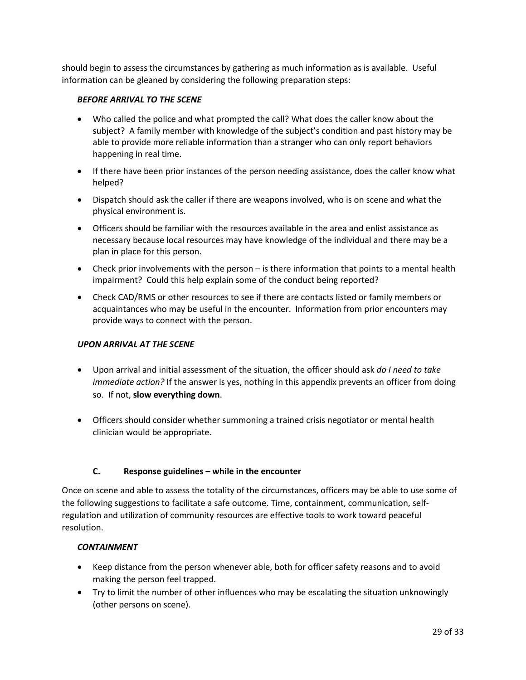should begin to assess the circumstances by gathering as much information as is available. Useful information can be gleaned by considering the following preparation steps:

#### *BEFORE ARRIVAL TO THE SCENE*

- Who called the police and what prompted the call? What does the caller know about the subject? A family member with knowledge of the subject's condition and past history may be able to provide more reliable information than a stranger who can only report behaviors happening in real time.
- If there have been prior instances of the person needing assistance, does the caller know what helped?
- Dispatch should ask the caller if there are weapons involved, who is on scene and what the physical environment is.
- Officers should be familiar with the resources available in the area and enlist assistance as necessary because local resources may have knowledge of the individual and there may be a plan in place for this person.
- Check prior involvements with the person is there information that points to a mental health impairment? Could this help explain some of the conduct being reported?
- Check CAD/RMS or other resources to see if there are contacts listed or family members or acquaintances who may be useful in the encounter. Information from prior encounters may provide ways to connect with the person.

#### *UPON ARRIVAL AT THE SCENE*

- Upon arrival and initial assessment of the situation, the officer should ask *do I need to take immediate action?* If the answer is yes, nothing in this appendix prevents an officer from doing so. If not, **slow everything down**.
- Officers should consider whether summoning a trained crisis negotiator or mental health clinician would be appropriate.

#### **C. Response guidelines – while in the encounter**

Once on scene and able to assess the totality of the circumstances, officers may be able to use some of the following suggestions to facilitate a safe outcome. Time, containment, communication, selfregulation and utilization of community resources are effective tools to work toward peaceful resolution.

#### *CONTAINMENT*

- Keep distance from the person whenever able, both for officer safety reasons and to avoid making the person feel trapped.
- Try to limit the number of other influences who may be escalating the situation unknowingly (other persons on scene).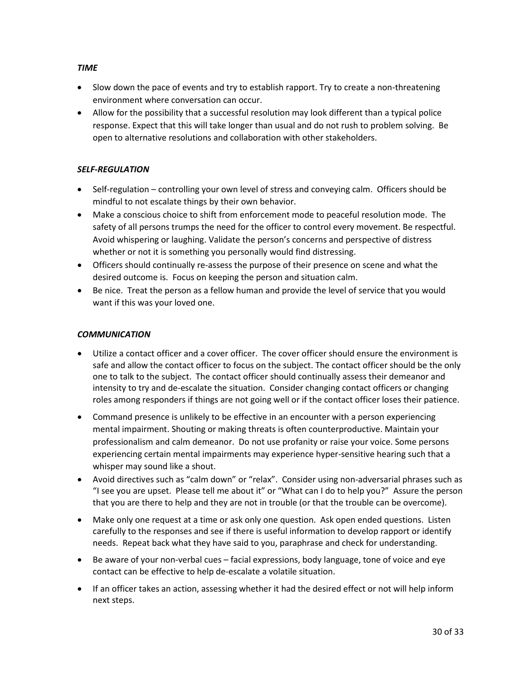#### *TIME*

- Slow down the pace of events and try to establish rapport. Try to create a non-threatening environment where conversation can occur.
- Allow for the possibility that a successful resolution may look different than a typical police response. Expect that this will take longer than usual and do not rush to problem solving. Be open to alternative resolutions and collaboration with other stakeholders.

#### *SELF-REGULATION*

- Self-regulation controlling your own level of stress and conveying calm. Officers should be mindful to not escalate things by their own behavior.
- Make a conscious choice to shift from enforcement mode to peaceful resolution mode. The safety of all persons trumps the need for the officer to control every movement. Be respectful. Avoid whispering or laughing. Validate the person's concerns and perspective of distress whether or not it is something you personally would find distressing.
- Officers should continually re-assess the purpose of their presence on scene and what the desired outcome is. Focus on keeping the person and situation calm.
- Be nice. Treat the person as a fellow human and provide the level of service that you would want if this was your loved one.

#### *COMMUNICATION*

- Utilize a contact officer and a cover officer. The cover officer should ensure the environment is safe and allow the contact officer to focus on the subject. The contact officer should be the only one to talk to the subject. The contact officer should continually assess their demeanor and intensity to try and de-escalate the situation. Consider changing contact officers or changing roles among responders if things are not going well or if the contact officer loses their patience.
- Command presence is unlikely to be effective in an encounter with a person experiencing mental impairment. Shouting or making threats is often counterproductive. Maintain your professionalism and calm demeanor. Do not use profanity or raise your voice. Some persons experiencing certain mental impairments may experience hyper-sensitive hearing such that a whisper may sound like a shout.
- Avoid directives such as "calm down" or "relax". Consider using non-adversarial phrases such as "I see you are upset. Please tell me about it" or "What can I do to help you?" Assure the person that you are there to help and they are not in trouble (or that the trouble can be overcome).
- Make only one request at a time or ask only one question. Ask open ended questions. Listen carefully to the responses and see if there is useful information to develop rapport or identify needs. Repeat back what they have said to you, paraphrase and check for understanding.
- Be aware of your non-verbal cues facial expressions, body language, tone of voice and eye contact can be effective to help de-escalate a volatile situation.
- If an officer takes an action, assessing whether it had the desired effect or not will help inform next steps.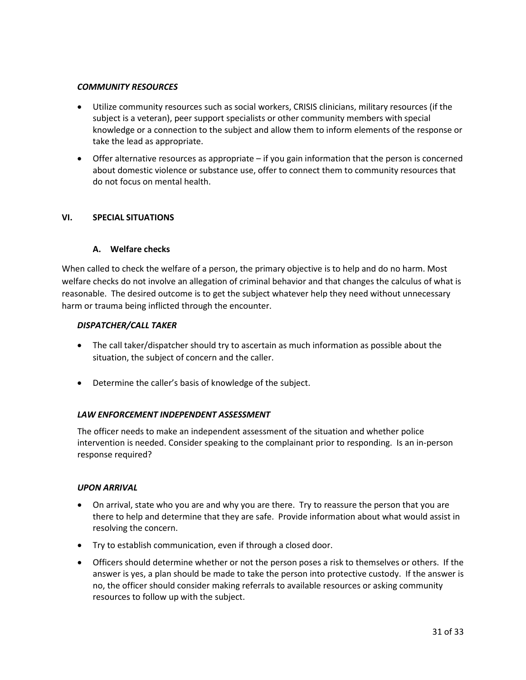#### *COMMUNITY RESOURCES*

- Utilize community resources such as social workers, CRISIS clinicians, military resources (if the subject is a veteran), peer support specialists or other community members with special knowledge or a connection to the subject and allow them to inform elements of the response or take the lead as appropriate.
- Offer alternative resources as appropriate if you gain information that the person is concerned about domestic violence or substance use, offer to connect them to community resources that do not focus on mental health.

#### **VI. SPECIAL SITUATIONS**

#### **A. Welfare checks**

When called to check the welfare of a person, the primary objective is to help and do no harm. Most welfare checks do not involve an allegation of criminal behavior and that changes the calculus of what is reasonable. The desired outcome is to get the subject whatever help they need without unnecessary harm or trauma being inflicted through the encounter.

#### *DISPATCHER/CALL TAKER*

- The call taker/dispatcher should try to ascertain as much information as possible about the situation, the subject of concern and the caller.
- Determine the caller's basis of knowledge of the subject.

#### *LAW ENFORCEMENT INDEPENDENT ASSESSMENT*

The officer needs to make an independent assessment of the situation and whether police intervention is needed. Consider speaking to the complainant prior to responding. Is an in-person response required?

#### *UPON ARRIVAL*

- On arrival, state who you are and why you are there. Try to reassure the person that you are there to help and determine that they are safe. Provide information about what would assist in resolving the concern.
- Try to establish communication, even if through a closed door.
- Officers should determine whether or not the person poses a risk to themselves or others. If the answer is yes, a plan should be made to take the person into protective custody. If the answer is no, the officer should consider making referrals to available resources or asking community resources to follow up with the subject.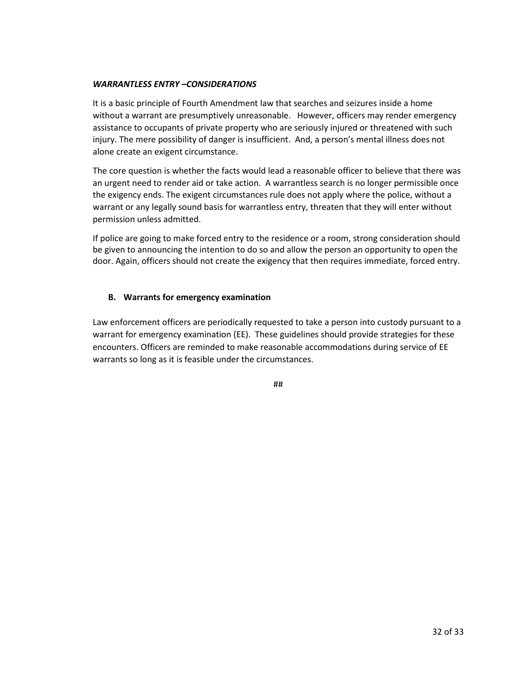#### *WARRANTLESS ENTRY –CONSIDERATIONS*

It is a basic principle of Fourth Amendment law that searches and seizures inside a home without a warrant are presumptively unreasonable. However, officers may render emergency assistance to occupants of private property who are seriously injured or threatened with such injury. The mere possibility of danger is insufficient. And, a person's mental illness does not alone create an exigent circumstance.

The core question is whether the facts would lead a reasonable officer to believe that there was an urgent need to render aid or take action. A warrantless search is no longer permissible once the exigency ends. The exigent circumstances rule does not apply where the police, without a warrant or any legally sound basis for warrantless entry, threaten that they will enter without permission unless admitted.

If police are going to make forced entry to the residence or a room, strong consideration should be given to announcing the intention to do so and allow the person an opportunity to open the door. Again, officers should not create the exigency that then requires immediate, forced entry.

#### **B. Warrants for emergency examination**

Law enforcement officers are periodically requested to take a person into custody pursuant to a warrant for emergency examination (EE). These guidelines should provide strategies for these encounters. Officers are reminded to make reasonable accommodations during service of EE warrants so long as it is feasible under the circumstances.

##